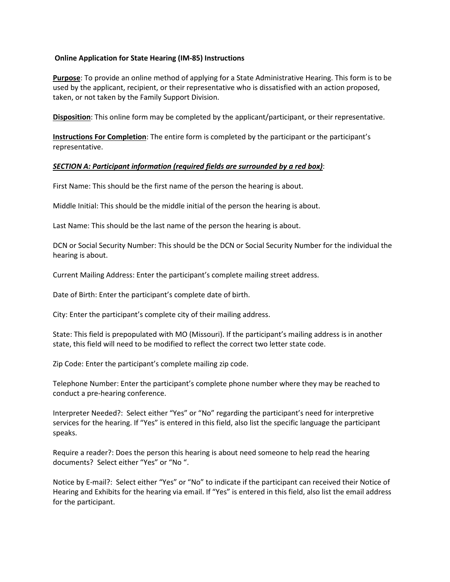## **Online Application for State Hearing (IM-85) Instructions**

**Purpose**: To provide an online method of applying for a State Administrative Hearing. This form is to be used by the applicant, recipient, or their representative who is dissatisfied with an action proposed, taken, or not taken by the Family Support Division.

**Disposition**: This online form may be completed by the applicant/participant, or their representative.

**Instructions For Completion**: The entire form is completed by the participant or the participant's representative.

## *SECTION A: Participant information (required fields are surrounded by a red box)*:

First Name: This should be the first name of the person the hearing is about.

Middle Initial: This should be the middle initial of the person the hearing is about.

Last Name: This should be the last name of the person the hearing is about.

DCN or Social Security Number: This should be the DCN or Social Security Number for the individual the hearing is about.

Current Mailing Address: Enter the participant's complete mailing street address.

Date of Birth: Enter the participant's complete date of birth.

City: Enter the participant's complete city of their mailing address.

State: This field is prepopulated with MO (Missouri). If the participant's mailing address is in another state, this field will need to be modified to reflect the correct two letter state code.

Zip Code: Enter the participant's complete mailing zip code.

Telephone Number: Enter the participant's complete phone number where they may be reached to conduct a pre-hearing conference.

Interpreter Needed?: Select either "Yes" or "No" regarding the participant's need for interpretive services for the hearing. If "Yes" is entered in this field, also list the specific language the participant speaks.

Require a reader?: Does the person this hearing is about need someone to help read the hearing documents? Select either "Yes" or "No ".

Notice by E-mail?: Select either "Yes" or "No" to indicate if the participant can received their Notice of Hearing and Exhibits for the hearing via email. If "Yes" is entered in this field, also list the email address for the participant.